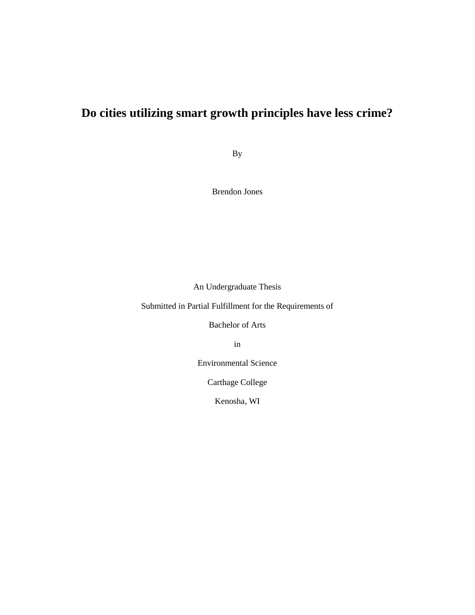# **Do cities utilizing smart growth principles have less crime?**

By

Brendon Jones

An Undergraduate Thesis

Submitted in Partial Fulfillment for the Requirements of

Bachelor of Arts

in

Environmental Science

Carthage College

Kenosha, WI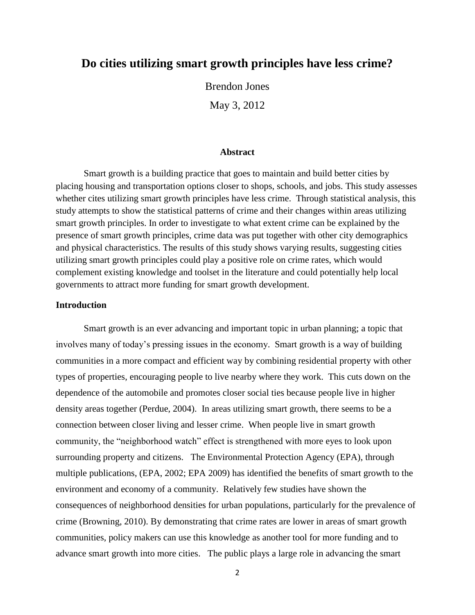## **Do cities utilizing smart growth principles have less crime?**

Brendon Jones May 3, 2012

#### **Abstract**

Smart growth is a building practice that goes to maintain and build better cities by placing housing and transportation options closer to shops, schools, and jobs. This study assesses whether cites utilizing smart growth principles have less crime. Through statistical analysis, this study attempts to show the statistical patterns of crime and their changes within areas utilizing smart growth principles. In order to investigate to what extent crime can be explained by the presence of smart growth principles, crime data was put together with other city demographics and physical characteristics. The results of this study shows varying results, suggesting cities utilizing smart growth principles could play a positive role on crime rates, which would complement existing knowledge and toolset in the literature and could potentially help local governments to attract more funding for smart growth development.

#### **Introduction**

Smart growth is an ever advancing and important topic in urban planning; a topic that involves many of today's pressing issues in the economy. Smart growth is a way of building communities in a more compact and efficient way by combining residential property with other types of properties, encouraging people to live nearby where they work. This cuts down on the dependence of the automobile and promotes closer social ties because people live in higher density areas together (Perdue, 2004). In areas utilizing smart growth, there seems to be a connection between closer living and lesser crime. When people live in smart growth community, the "neighborhood watch" effect is strengthened with more eyes to look upon surrounding property and citizens. The Environmental Protection Agency (EPA), through multiple publications, (EPA, 2002; EPA 2009) has identified the benefits of smart growth to the environment and economy of a community. Relatively few studies have shown the consequences of neighborhood densities for urban populations, particularly for the prevalence of crime (Browning, 2010). By demonstrating that crime rates are lower in areas of smart growth communities, policy makers can use this knowledge as another tool for more funding and to advance smart growth into more cities. The public plays a large role in advancing the smart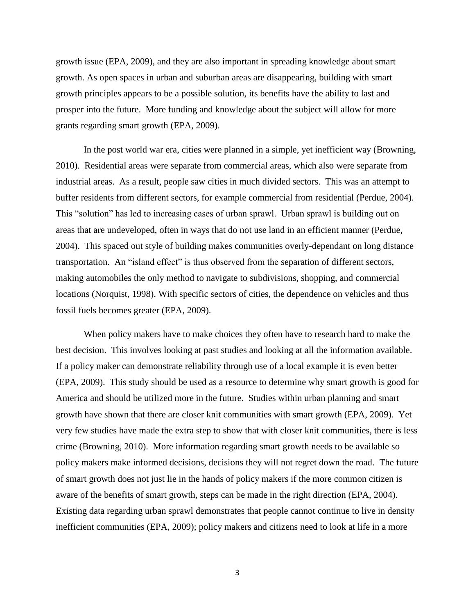growth issue (EPA, 2009), and they are also important in spreading knowledge about smart growth. As open spaces in urban and suburban areas are disappearing, building with smart growth principles appears to be a possible solution, its benefits have the ability to last and prosper into the future. More funding and knowledge about the subject will allow for more grants regarding smart growth (EPA, 2009).

In the post world war era, cities were planned in a simple, yet inefficient way (Browning, 2010). Residential areas were separate from commercial areas, which also were separate from industrial areas. As a result, people saw cities in much divided sectors. This was an attempt to buffer residents from different sectors, for example commercial from residential (Perdue, 2004). This "solution" has led to increasing cases of urban sprawl. Urban sprawl is building out on areas that are undeveloped, often in ways that do not use land in an efficient manner (Perdue, 2004). This spaced out style of building makes communities overly-dependant on long distance transportation. An "island effect" is thus observed from the separation of different sectors, making automobiles the only method to navigate to subdivisions, shopping, and commercial locations (Norquist, 1998). With specific sectors of cities, the dependence on vehicles and thus fossil fuels becomes greater (EPA, 2009).

When policy makers have to make choices they often have to research hard to make the best decision. This involves looking at past studies and looking at all the information available. If a policy maker can demonstrate reliability through use of a local example it is even better (EPA, 2009). This study should be used as a resource to determine why smart growth is good for America and should be utilized more in the future. Studies within urban planning and smart growth have shown that there are closer knit communities with smart growth (EPA, 2009). Yet very few studies have made the extra step to show that with closer knit communities, there is less crime (Browning, 2010). More information regarding smart growth needs to be available so policy makers make informed decisions, decisions they will not regret down the road. The future of smart growth does not just lie in the hands of policy makers if the more common citizen is aware of the benefits of smart growth, steps can be made in the right direction (EPA, 2004). Existing data regarding urban sprawl demonstrates that people cannot continue to live in density inefficient communities (EPA, 2009); policy makers and citizens need to look at life in a more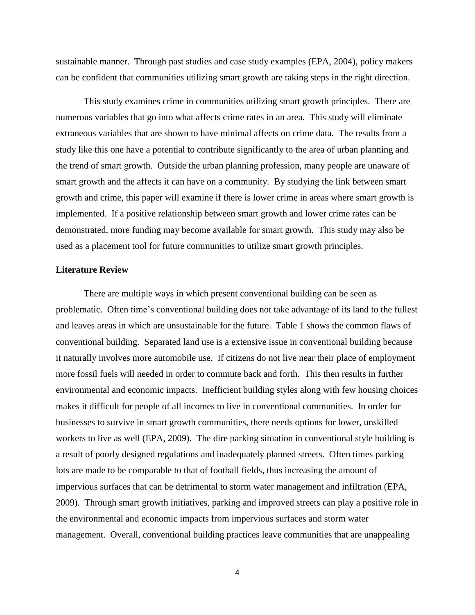sustainable manner. Through past studies and case study examples (EPA, 2004), policy makers can be confident that communities utilizing smart growth are taking steps in the right direction.

This study examines crime in communities utilizing smart growth principles. There are numerous variables that go into what affects crime rates in an area. This study will eliminate extraneous variables that are shown to have minimal affects on crime data. The results from a study like this one have a potential to contribute significantly to the area of urban planning and the trend of smart growth. Outside the urban planning profession, many people are unaware of smart growth and the affects it can have on a community. By studying the link between smart growth and crime, this paper will examine if there is lower crime in areas where smart growth is implemented. If a positive relationship between smart growth and lower crime rates can be demonstrated, more funding may become available for smart growth. This study may also be used as a placement tool for future communities to utilize smart growth principles.

#### **Literature Review**

There are multiple ways in which present conventional building can be seen as problematic. Often time's conventional building does not take advantage of its land to the fullest and leaves areas in which are unsustainable for the future. Table 1 shows the common flaws of conventional building. Separated land use is a extensive issue in conventional building because it naturally involves more automobile use. If citizens do not live near their place of employment more fossil fuels will needed in order to commute back and forth. This then results in further environmental and economic impacts. Inefficient building styles along with few housing choices makes it difficult for people of all incomes to live in conventional communities. In order for businesses to survive in smart growth communities, there needs options for lower, unskilled workers to live as well (EPA, 2009). The dire parking situation in conventional style building is a result of poorly designed regulations and inadequately planned streets. Often times parking lots are made to be comparable to that of football fields, thus increasing the amount of impervious surfaces that can be detrimental to storm water management and infiltration (EPA, 2009). Through smart growth initiatives, parking and improved streets can play a positive role in the environmental and economic impacts from impervious surfaces and storm water management. Overall, conventional building practices leave communities that are unappealing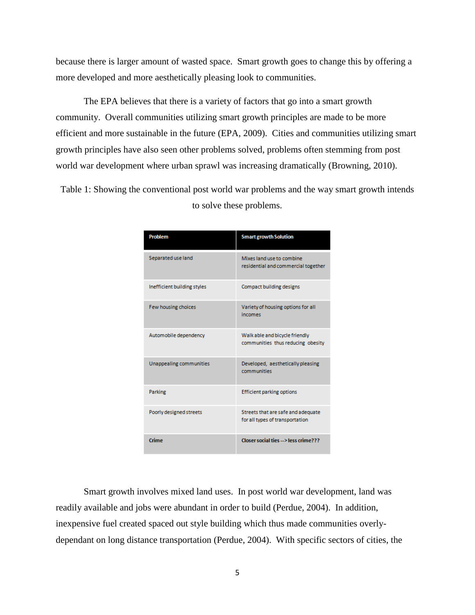because there is larger amount of wasted space. Smart growth goes to change this by offering a more developed and more aesthetically pleasing look to communities.

The EPA believes that there is a variety of factors that go into a smart growth community. Overall communities utilizing smart growth principles are made to be more efficient and more sustainable in the future (EPA, 2009). Cities and communities utilizing smart growth principles have also seen other problems solved, problems often stemming from post world war development where urban sprawl was increasing dramatically (Browning, 2010).

Table 1: Showing the conventional post world war problems and the way smart growth intends to solve these problems.

| Problem                     | <b>Smart growth Solution</b>                                          |
|-----------------------------|-----------------------------------------------------------------------|
| Separated use land          | Mixes land use to combine<br>residential and commercial together      |
| Inefficient building styles | Compact building designs                                              |
| Few housing choices         | Variety of housing options for all<br>incomes                         |
| Automobile dependency       | Walk able and bicycle friendly<br>communities thus reducing obesity   |
| Unappealing communities     | Developed, aesthetically pleasing<br>communities                      |
| Parking                     | <b>Efficient parking options</b>                                      |
| Poorly designed streets     | Streets that are safe and adequate<br>for all types of transportation |
| Crime                       | Closer social ties -- > less crime???                                 |

Smart growth involves mixed land uses. In post world war development, land was readily available and jobs were abundant in order to build (Perdue, 2004). In addition, inexpensive fuel created spaced out style building which thus made communities overlydependant on long distance transportation (Perdue, 2004). With specific sectors of cities, the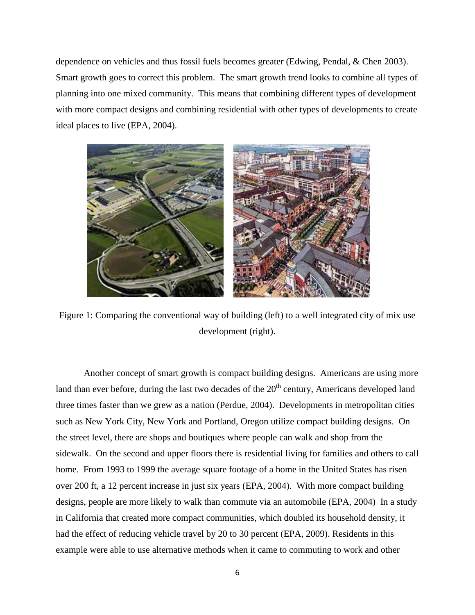dependence on vehicles and thus fossil fuels becomes greater (Edwing, Pendal, & Chen 2003). Smart growth goes to correct this problem. The smart growth trend looks to combine all types of planning into one mixed community. This means that combining different types of development with more compact designs and combining residential with other types of developments to create ideal places to live (EPA, 2004).



Figure 1: Comparing the conventional way of building (left) to a well integrated city of mix use development (right).

Another concept of smart growth is compact building designs. Americans are using more land than ever before, during the last two decades of the  $20<sup>th</sup>$  century, Americans developed land three times faster than we grew as a nation (Perdue, 2004). Developments in metropolitan cities such as New York City, New York and Portland, Oregon utilize compact building designs. On the street level, there are shops and boutiques where people can walk and shop from the sidewalk. On the second and upper floors there is residential living for families and others to call home. From 1993 to 1999 the average square footage of a home in the United States has risen over 200 ft, a 12 percent increase in just six years (EPA, 2004). With more compact building designs, people are more likely to walk than commute via an automobile (EPA, 2004) In a study in California that created more compact communities, which doubled its household density, it had the effect of reducing vehicle travel by 20 to 30 percent (EPA, 2009). Residents in this example were able to use alternative methods when it came to commuting to work and other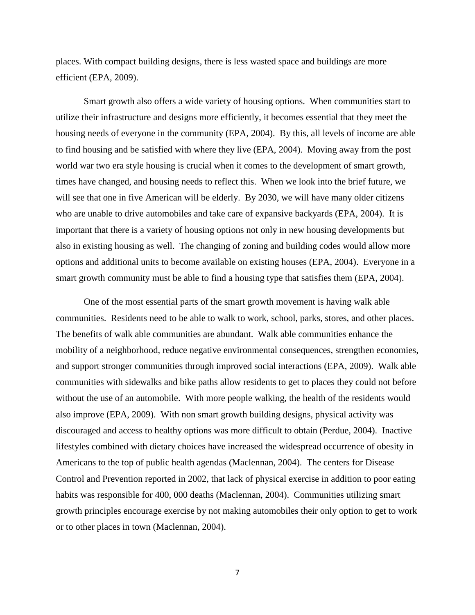places. With compact building designs, there is less wasted space and buildings are more efficient (EPA, 2009).

Smart growth also offers a wide variety of housing options. When communities start to utilize their infrastructure and designs more efficiently, it becomes essential that they meet the housing needs of everyone in the community (EPA, 2004). By this, all levels of income are able to find housing and be satisfied with where they live (EPA, 2004). Moving away from the post world war two era style housing is crucial when it comes to the development of smart growth, times have changed, and housing needs to reflect this. When we look into the brief future, we will see that one in five American will be elderly. By 2030, we will have many older citizens who are unable to drive automobiles and take care of expansive backyards (EPA, 2004). It is important that there is a variety of housing options not only in new housing developments but also in existing housing as well. The changing of zoning and building codes would allow more options and additional units to become available on existing houses (EPA, 2004). Everyone in a smart growth community must be able to find a housing type that satisfies them (EPA, 2004).

One of the most essential parts of the smart growth movement is having walk able communities. Residents need to be able to walk to work, school, parks, stores, and other places. The benefits of walk able communities are abundant. Walk able communities enhance the mobility of a neighborhood, reduce negative environmental consequences, strengthen economies, and support stronger communities through improved social interactions (EPA, 2009). Walk able communities with sidewalks and bike paths allow residents to get to places they could not before without the use of an automobile. With more people walking, the health of the residents would also improve (EPA, 2009). With non smart growth building designs, physical activity was discouraged and access to healthy options was more difficult to obtain (Perdue, 2004). Inactive lifestyles combined with dietary choices have increased the widespread occurrence of obesity in Americans to the top of public health agendas (Maclennan, 2004). The centers for Disease Control and Prevention reported in 2002, that lack of physical exercise in addition to poor eating habits was responsible for 400, 000 deaths (Maclennan, 2004). Communities utilizing smart growth principles encourage exercise by not making automobiles their only option to get to work or to other places in town (Maclennan, 2004).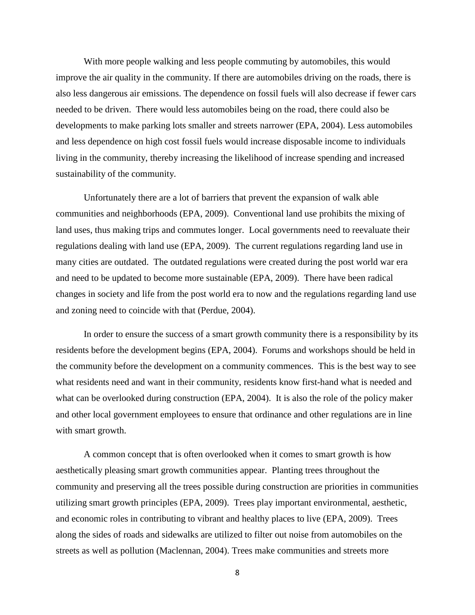With more people walking and less people commuting by automobiles, this would improve the air quality in the community. If there are automobiles driving on the roads, there is also less dangerous air emissions. The dependence on fossil fuels will also decrease if fewer cars needed to be driven. There would less automobiles being on the road, there could also be developments to make parking lots smaller and streets narrower (EPA, 2004). Less automobiles and less dependence on high cost fossil fuels would increase disposable income to individuals living in the community, thereby increasing the likelihood of increase spending and increased sustainability of the community.

Unfortunately there are a lot of barriers that prevent the expansion of walk able communities and neighborhoods (EPA, 2009). Conventional land use prohibits the mixing of land uses, thus making trips and commutes longer. Local governments need to reevaluate their regulations dealing with land use (EPA, 2009). The current regulations regarding land use in many cities are outdated. The outdated regulations were created during the post world war era and need to be updated to become more sustainable (EPA, 2009). There have been radical changes in society and life from the post world era to now and the regulations regarding land use and zoning need to coincide with that (Perdue, 2004).

In order to ensure the success of a smart growth community there is a responsibility by its residents before the development begins (EPA, 2004). Forums and workshops should be held in the community before the development on a community commences. This is the best way to see what residents need and want in their community, residents know first-hand what is needed and what can be overlooked during construction (EPA, 2004). It is also the role of the policy maker and other local government employees to ensure that ordinance and other regulations are in line with smart growth.

A common concept that is often overlooked when it comes to smart growth is how aesthetically pleasing smart growth communities appear. Planting trees throughout the community and preserving all the trees possible during construction are priorities in communities utilizing smart growth principles (EPA, 2009). Trees play important environmental, aesthetic, and economic roles in contributing to vibrant and healthy places to live (EPA, 2009). Trees along the sides of roads and sidewalks are utilized to filter out noise from automobiles on the streets as well as pollution (Maclennan, 2004). Trees make communities and streets more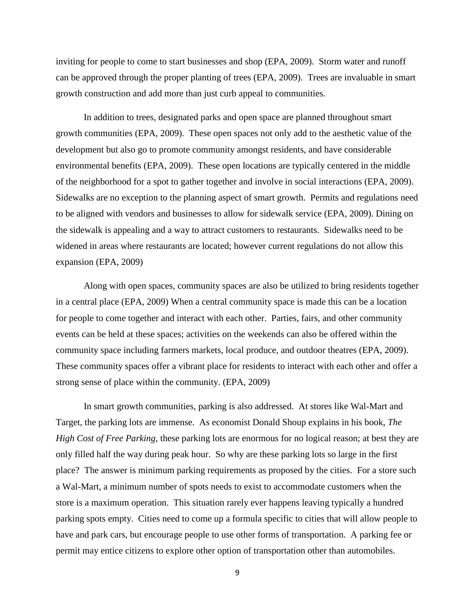inviting for people to come to start businesses and shop (EPA, 2009). Storm water and runoff can be approved through the proper planting of trees (EPA, 2009). Trees are invaluable in smart growth construction and add more than just curb appeal to communities.

In addition to trees, designated parks and open space are planned throughout smart growth communities (EPA, 2009). These open spaces not only add to the aesthetic value of the development but also go to promote community amongst residents, and have considerable environmental benefits (EPA, 2009). These open locations are typically centered in the middle of the neighborhood for a spot to gather together and involve in social interactions (EPA, 2009). Sidewalks are no exception to the planning aspect of smart growth. Permits and regulations need to be aligned with vendors and businesses to allow for sidewalk service (EPA, 2009). Dining on the sidewalk is appealing and a way to attract customers to restaurants. Sidewalks need to be widened in areas where restaurants are located; however current regulations do not allow this expansion (EPA, 2009)

Along with open spaces, community spaces are also be utilized to bring residents together in a central place (EPA, 2009) When a central community space is made this can be a location for people to come together and interact with each other. Parties, fairs, and other community events can be held at these spaces; activities on the weekends can also be offered within the community space including farmers markets, local produce, and outdoor theatres (EPA, 2009). These community spaces offer a vibrant place for residents to interact with each other and offer a strong sense of place within the community. (EPA, 2009)

In smart growth communities, parking is also addressed. At stores like Wal-Mart and Target, the parking lots are immense. As economist Donald Shoup explains in his book, *The High Cost of Free Parking,* these parking lots are enormous for no logical reason; at best they are only filled half the way during peak hour. So why are these parking lots so large in the first place? The answer is minimum parking requirements as proposed by the cities. For a store such a Wal-Mart, a minimum number of spots needs to exist to accommodate customers when the store is a maximum operation. This situation rarely ever happens leaving typically a hundred parking spots empty. Cities need to come up a formula specific to cities that will allow people to have and park cars, but encourage people to use other forms of transportation. A parking fee or permit may entice citizens to explore other option of transportation other than automobiles.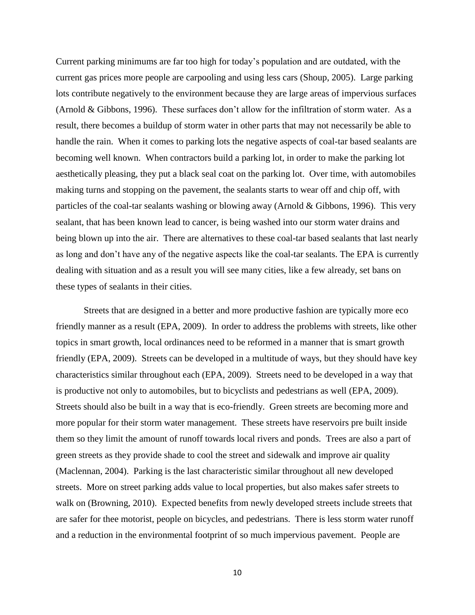Current parking minimums are far too high for today's population and are outdated, with the current gas prices more people are carpooling and using less cars (Shoup, 2005). Large parking lots contribute negatively to the environment because they are large areas of impervious surfaces (Arnold & Gibbons, 1996). These surfaces don't allow for the infiltration of storm water. As a result, there becomes a buildup of storm water in other parts that may not necessarily be able to handle the rain. When it comes to parking lots the negative aspects of coal-tar based sealants are becoming well known. When contractors build a parking lot, in order to make the parking lot aesthetically pleasing, they put a black seal coat on the parking lot. Over time, with automobiles making turns and stopping on the pavement, the sealants starts to wear off and chip off, with particles of the coal-tar sealants washing or blowing away (Arnold  $& Gibbons, 1996$ ). This very sealant, that has been known lead to cancer, is being washed into our storm water drains and being blown up into the air. There are alternatives to these coal-tar based sealants that last nearly as long and don't have any of the negative aspects like the coal-tar sealants. The EPA is currently dealing with situation and as a result you will see many cities, like a few already, set bans on these types of sealants in their cities.

Streets that are designed in a better and more productive fashion are typically more eco friendly manner as a result (EPA, 2009). In order to address the problems with streets, like other topics in smart growth, local ordinances need to be reformed in a manner that is smart growth friendly (EPA, 2009). Streets can be developed in a multitude of ways, but they should have key characteristics similar throughout each (EPA, 2009). Streets need to be developed in a way that is productive not only to automobiles, but to bicyclists and pedestrians as well (EPA, 2009). Streets should also be built in a way that is eco-friendly. Green streets are becoming more and more popular for their storm water management. These streets have reservoirs pre built inside them so they limit the amount of runoff towards local rivers and ponds. Trees are also a part of green streets as they provide shade to cool the street and sidewalk and improve air quality (Maclennan, 2004). Parking is the last characteristic similar throughout all new developed streets. More on street parking adds value to local properties, but also makes safer streets to walk on (Browning, 2010). Expected benefits from newly developed streets include streets that are safer for thee motorist, people on bicycles, and pedestrians. There is less storm water runoff and a reduction in the environmental footprint of so much impervious pavement. People are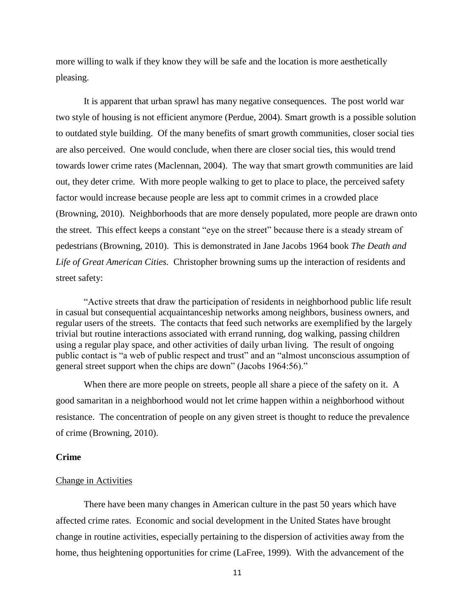more willing to walk if they know they will be safe and the location is more aesthetically pleasing.

It is apparent that urban sprawl has many negative consequences. The post world war two style of housing is not efficient anymore (Perdue, 2004). Smart growth is a possible solution to outdated style building. Of the many benefits of smart growth communities, closer social ties are also perceived. One would conclude, when there are closer social ties, this would trend towards lower crime rates (Maclennan, 2004). The way that smart growth communities are laid out, they deter crime. With more people walking to get to place to place, the perceived safety factor would increase because people are less apt to commit crimes in a crowded place (Browning, 2010). Neighborhoods that are more densely populated, more people are drawn onto the street. This effect keeps a constant "eye on the street" because there is a steady stream of pedestrians (Browning, 2010). This is demonstrated in Jane Jacobs 1964 book *The Death and Life of Great American Cities.* Christopher browning sums up the interaction of residents and street safety:

"Active streets that draw the participation of residents in neighborhood public life result in casual but consequential acquaintanceship networks among neighbors, business owners, and regular users of the streets. The contacts that feed such networks are exemplified by the largely trivial but routine interactions associated with errand running, dog walking, passing children using a regular play space, and other activities of daily urban living. The result of ongoing public contact is "a web of public respect and trust" and an "almost unconscious assumption of general street support when the chips are down" (Jacobs 1964:56)."

When there are more people on streets, people all share a piece of the safety on it. A good samaritan in a neighborhood would not let crime happen within a neighborhood without resistance. The concentration of people on any given street is thought to reduce the prevalence of crime (Browning, 2010).

#### **Crime**

#### Change in Activities

There have been many changes in American culture in the past 50 years which have affected crime rates. Economic and social development in the United States have brought change in routine activities, especially pertaining to the dispersion of activities away from the home, thus heightening opportunities for crime (LaFree, 1999). With the advancement of the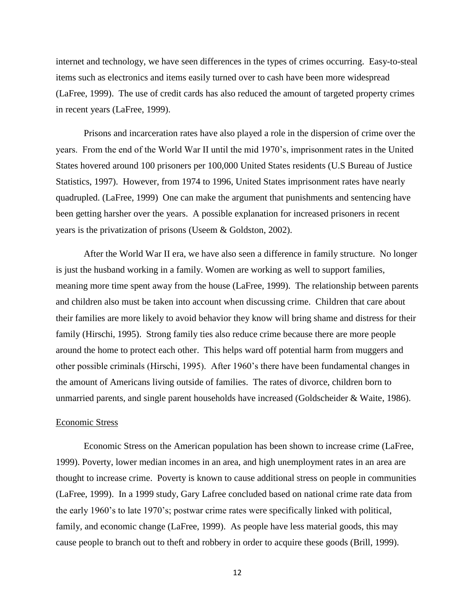internet and technology, we have seen differences in the types of crimes occurring. Easy-to-steal items such as electronics and items easily turned over to cash have been more widespread (LaFree, 1999). The use of credit cards has also reduced the amount of targeted property crimes in recent years (LaFree, 1999).

Prisons and incarceration rates have also played a role in the dispersion of crime over the years. From the end of the World War II until the mid 1970's, imprisonment rates in the United States hovered around 100 prisoners per 100,000 United States residents (U.S Bureau of Justice Statistics, 1997). However, from 1974 to 1996, United States imprisonment rates have nearly quadrupled. (LaFree, 1999) One can make the argument that punishments and sentencing have been getting harsher over the years. A possible explanation for increased prisoners in recent years is the privatization of prisons (Useem & Goldston, 2002).

After the World War II era, we have also seen a difference in family structure. No longer is just the husband working in a family. Women are working as well to support families, meaning more time spent away from the house (LaFree, 1999). The relationship between parents and children also must be taken into account when discussing crime. Children that care about their families are more likely to avoid behavior they know will bring shame and distress for their family (Hirschi, 1995). Strong family ties also reduce crime because there are more people around the home to protect each other. This helps ward off potential harm from muggers and other possible criminals (Hirschi, 1995). After 1960's there have been fundamental changes in the amount of Americans living outside of families. The rates of divorce, children born to unmarried parents, and single parent households have increased (Goldscheider & Waite, 1986).

#### Economic Stress

Economic Stress on the American population has been shown to increase crime (LaFree, 1999). Poverty, lower median incomes in an area, and high unemployment rates in an area are thought to increase crime. Poverty is known to cause additional stress on people in communities (LaFree, 1999). In a 1999 study, Gary Lafree concluded based on national crime rate data from the early 1960's to late 1970's; postwar crime rates were specifically linked with political, family, and economic change (LaFree, 1999). As people have less material goods, this may cause people to branch out to theft and robbery in order to acquire these goods (Brill, 1999).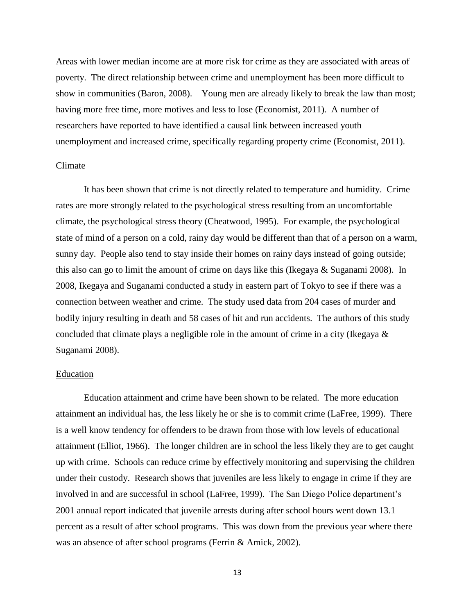Areas with lower median income are at more risk for crime as they are associated with areas of poverty. The direct relationship between crime and unemployment has been more difficult to show in communities (Baron, 2008). Young men are already likely to break the law than most; having more free time, more motives and less to lose (Economist, 2011). A number of researchers have reported to have identified a causal link between increased youth unemployment and increased crime, specifically regarding property crime (Economist, 2011).

#### Climate

It has been shown that crime is not directly related to temperature and humidity. Crime rates are more strongly related to the psychological stress resulting from an uncomfortable climate, the psychological stress theory (Cheatwood, 1995). For example, the psychological state of mind of a person on a cold, rainy day would be different than that of a person on a warm, sunny day. People also tend to stay inside their homes on rainy days instead of going outside; this also can go to limit the amount of crime on days like this (Ikegaya & Suganami 2008). In 2008, Ikegaya and Suganami conducted a study in eastern part of Tokyo to see if there was a connection between weather and crime. The study used data from 204 cases of murder and bodily injury resulting in death and 58 cases of hit and run accidents. The authors of this study concluded that climate plays a negligible role in the amount of crime in a city (Ikegaya & Suganami 2008).

#### Education

Education attainment and crime have been shown to be related. The more education attainment an individual has, the less likely he or she is to commit crime (LaFree, 1999). There is a well know tendency for offenders to be drawn from those with low levels of educational attainment (Elliot, 1966). The longer children are in school the less likely they are to get caught up with crime. Schools can reduce crime by effectively monitoring and supervising the children under their custody. Research shows that juveniles are less likely to engage in crime if they are involved in and are successful in school (LaFree, 1999). The San Diego Police department's 2001 annual report indicated that juvenile arrests during after school hours went down 13.1 percent as a result of after school programs. This was down from the previous year where there was an absence of after school programs (Ferrin & Amick, 2002).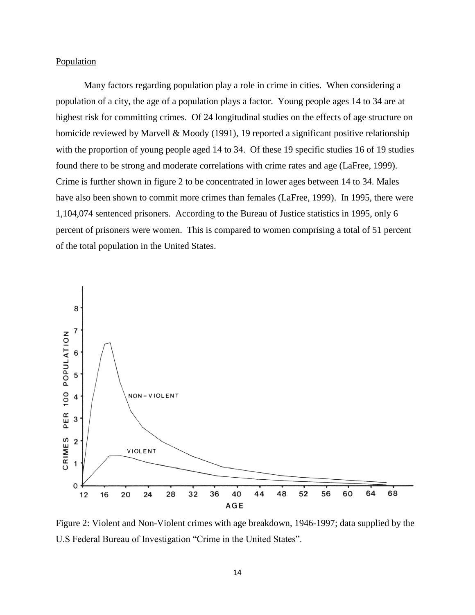#### **Population**

Many factors regarding population play a role in crime in cities. When considering a population of a city, the age of a population plays a factor. Young people ages 14 to 34 are at highest risk for committing crimes. Of 24 longitudinal studies on the effects of age structure on homicide reviewed by Marvell & Moody (1991), 19 reported a significant positive relationship with the proportion of young people aged 14 to 34. Of these 19 specific studies 16 of 19 studies found there to be strong and moderate correlations with crime rates and age (LaFree, 1999). Crime is further shown in figure 2 to be concentrated in lower ages between 14 to 34. Males have also been shown to commit more crimes than females (LaFree, 1999). In 1995, there were 1,104,074 sentenced prisoners. According to the Bureau of Justice statistics in 1995, only 6 percent of prisoners were women. This is compared to women comprising a total of 51 percent of the total population in the United States.



Figure 2: Violent and Non-Violent crimes with age breakdown, 1946-1997; data supplied by the U.S Federal Bureau of Investigation "Crime in the United States".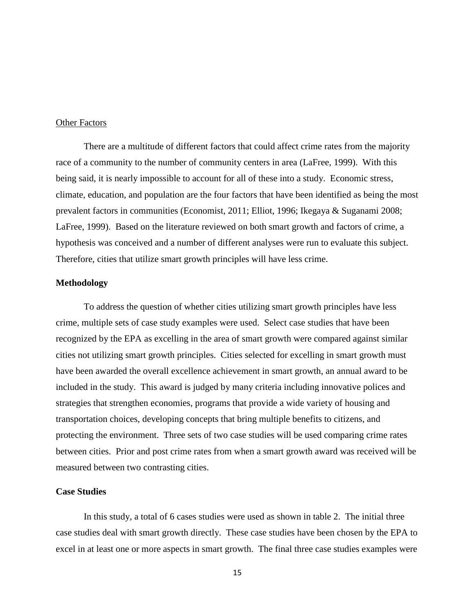#### Other Factors

There are a multitude of different factors that could affect crime rates from the majority race of a community to the number of community centers in area (LaFree, 1999). With this being said, it is nearly impossible to account for all of these into a study. Economic stress, climate, education, and population are the four factors that have been identified as being the most prevalent factors in communities (Economist, 2011; Elliot, 1996; Ikegaya & Suganami 2008; LaFree, 1999). Based on the literature reviewed on both smart growth and factors of crime, a hypothesis was conceived and a number of different analyses were run to evaluate this subject. Therefore, cities that utilize smart growth principles will have less crime.

#### **Methodology**

To address the question of whether cities utilizing smart growth principles have less crime, multiple sets of case study examples were used. Select case studies that have been recognized by the EPA as excelling in the area of smart growth were compared against similar cities not utilizing smart growth principles. Cities selected for excelling in smart growth must have been awarded the overall excellence achievement in smart growth, an annual award to be included in the study. This award is judged by many criteria including innovative polices and strategies that strengthen economies, programs that provide a wide variety of housing and transportation choices, developing concepts that bring multiple benefits to citizens, and protecting the environment. Three sets of two case studies will be used comparing crime rates between cities. Prior and post crime rates from when a smart growth award was received will be measured between two contrasting cities.

### **Case Studies**

In this study, a total of 6 cases studies were used as shown in table 2. The initial three case studies deal with smart growth directly. These case studies have been chosen by the EPA to excel in at least one or more aspects in smart growth. The final three case studies examples were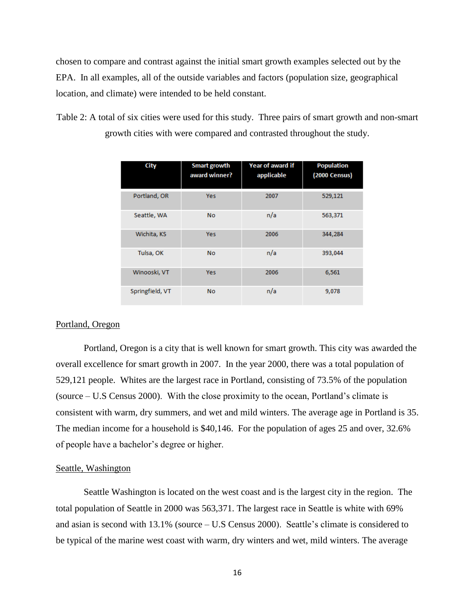chosen to compare and contrast against the initial smart growth examples selected out by the EPA. In all examples, all of the outside variables and factors (population size, geographical location, and climate) were intended to be held constant.

Table 2: A total of six cities were used for this study. Three pairs of smart growth and non-smart growth cities with were compared and contrasted throughout the study.

| City            | <b>Smart growth</b><br>award winner? | <b>Year of award if</b><br>applicable | <b>Population</b><br><b>(2000 Census)</b> |
|-----------------|--------------------------------------|---------------------------------------|-------------------------------------------|
| Portland, OR    | <b>Yes</b>                           | 2007                                  | 529,121                                   |
| Seattle, WA     | <b>No</b>                            | n/a                                   | 563,371                                   |
| Wichita, KS     | Yes                                  | 2006                                  | 344,284                                   |
| Tulsa, OK       | <b>No</b>                            | n/a                                   | 393,044                                   |
| Winooski, VT    | Yes                                  | 2006                                  | 6,561                                     |
| Springfield, VT | <b>No</b>                            | n/a                                   | 9,078                                     |

#### Portland, Oregon

Portland, Oregon is a city that is well known for smart growth. This city was awarded the overall excellence for smart growth in 2007. In the year 2000, there was a total population of 529,121 people. Whites are the largest race in Portland, consisting of 73.5% of the population (source – U.S Census 2000). With the close proximity to the ocean, Portland's climate is consistent with warm, dry summers, and wet and mild winters. The average age in Portland is 35. The median income for a household is \$40,146. For the population of ages 25 and over, 32.6% of people have a bachelor's degree or higher.

#### Seattle, Washington

Seattle Washington is located on the west coast and is the largest city in the region. The total population of Seattle in 2000 was 563,371. The largest race in Seattle is white with 69% and asian is second with 13.1% (source – U.S Census 2000). Seattle's climate is considered to be typical of the marine west coast with warm, dry winters and wet, mild winters. The average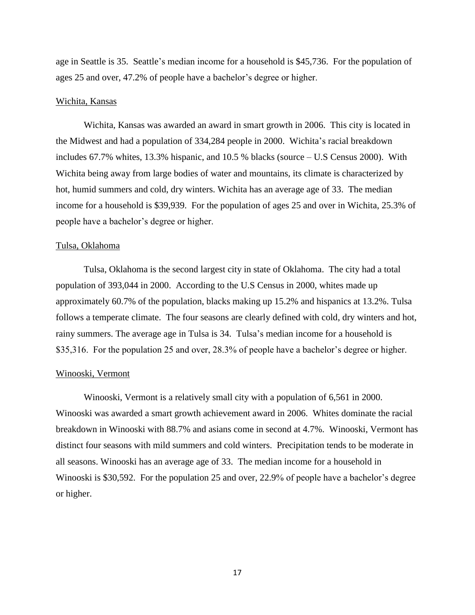age in Seattle is 35. Seattle's median income for a household is \$45,736. For the population of ages 25 and over, 47.2% of people have a bachelor's degree or higher.

#### Wichita, Kansas

Wichita, Kansas was awarded an award in smart growth in 2006. This city is located in the Midwest and had a population of 334,284 people in 2000. Wichita's racial breakdown includes 67.7% whites, 13.3% hispanic, and 10.5 % blacks (source – U.S Census 2000). With Wichita being away from large bodies of water and mountains, its climate is characterized by hot, humid summers and cold, dry winters. Wichita has an average age of 33. The median income for a household is \$39,939. For the population of ages 25 and over in Wichita, 25.3% of people have a bachelor's degree or higher.

#### Tulsa, Oklahoma

Tulsa, Oklahoma is the second largest city in state of Oklahoma. The city had a total population of 393,044 in 2000. According to the U.S Census in 2000, whites made up approximately 60.7% of the population, blacks making up 15.2% and hispanics at 13.2%. Tulsa follows a temperate climate. The four seasons are clearly defined with cold, dry winters and hot, rainy summers. The average age in Tulsa is 34. Tulsa's median income for a household is \$35,316. For the population 25 and over, 28.3% of people have a bachelor's degree or higher.

#### Winooski, Vermont

Winooski, Vermont is a relatively small city with a population of 6,561 in 2000. Winooski was awarded a smart growth achievement award in 2006. Whites dominate the racial breakdown in Winooski with 88.7% and asians come in second at 4.7%. Winooski, Vermont has distinct four seasons with mild summers and cold winters. Precipitation tends to be moderate in all seasons. Winooski has an average age of 33. The median income for a household in Winooski is \$30,592. For the population 25 and over, 22.9% of people have a bachelor's degree or higher.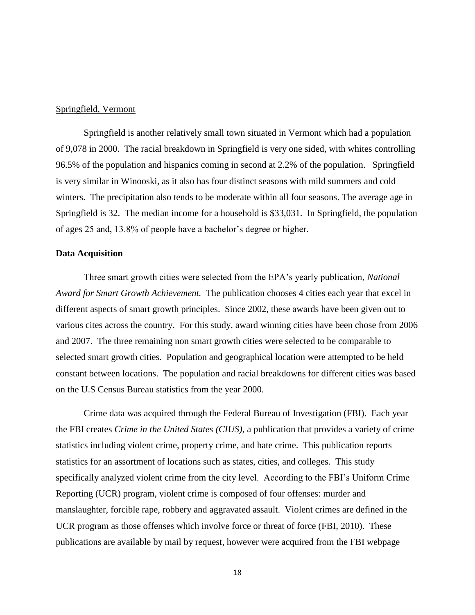#### Springfield, Vermont

Springfield is another relatively small town situated in Vermont which had a population of 9,078 in 2000. The racial breakdown in Springfield is very one sided, with whites controlling 96.5% of the population and hispanics coming in second at 2.2% of the population. Springfield is very similar in Winooski, as it also has four distinct seasons with mild summers and cold winters. The precipitation also tends to be moderate within all four seasons. The average age in Springfield is 32. The median income for a household is \$33,031. In Springfield, the population of ages 25 and, 13.8% of people have a bachelor's degree or higher.

#### **Data Acquisition**

Three smart growth cities were selected from the EPA's yearly publication, *National Award for Smart Growth Achievement.* The publication chooses 4 cities each year that excel in different aspects of smart growth principles. Since 2002, these awards have been given out to various cites across the country. For this study, award winning cities have been chose from 2006 and 2007. The three remaining non smart growth cities were selected to be comparable to selected smart growth cities. Population and geographical location were attempted to be held constant between locations. The population and racial breakdowns for different cities was based on the U.S Census Bureau statistics from the year 2000.

Crime data was acquired through the Federal Bureau of Investigation (FBI). Each year the FBI creates *Crime in the United States (CIUS)*, a publication that provides a variety of crime statistics including violent crime, property crime, and hate crime. This publication reports statistics for an assortment of locations such as states, cities, and colleges. This study specifically analyzed violent crime from the city level. According to the FBI's Uniform Crime Reporting (UCR) program, violent crime is composed of four offenses: murder and manslaughter, forcible rape, robbery and aggravated assault. Violent crimes are defined in the UCR program as those offenses which involve force or threat of force (FBI, 2010). These publications are available by mail by request, however were acquired from the FBI webpage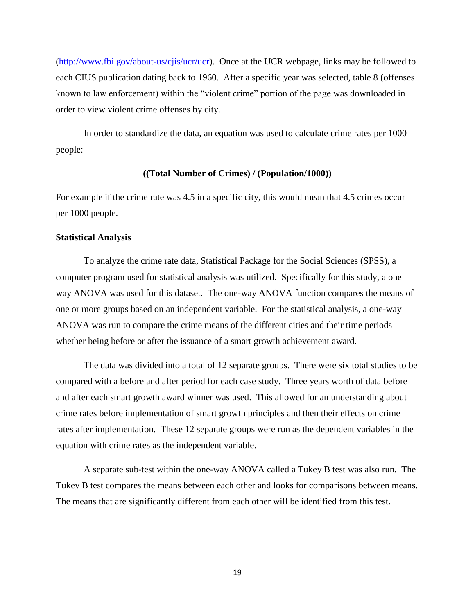[\(http://www.fbi.gov/about-us/cjis/ucr/ucr\)](http://www.fbi.gov/about-us/cjis/ucr/ucr). Once at the UCR webpage, links may be followed to each CIUS publication dating back to 1960. After a specific year was selected, table 8 (offenses known to law enforcement) within the "violent crime" portion of the page was downloaded in order to view violent crime offenses by city.

In order to standardize the data, an equation was used to calculate crime rates per 1000 people:

#### **((Total Number of Crimes) / (Population/1000))**

For example if the crime rate was 4.5 in a specific city, this would mean that 4.5 crimes occur per 1000 people.

#### **Statistical Analysis**

To analyze the crime rate data, Statistical Package for the Social Sciences (SPSS), a computer program used for statistical analysis was utilized. Specifically for this study, a one way ANOVA was used for this dataset. The one-way ANOVA function compares the means of one or more groups based on an independent variable. For the statistical analysis, a one-way ANOVA was run to compare the crime means of the different cities and their time periods whether being before or after the issuance of a smart growth achievement award.

The data was divided into a total of 12 separate groups. There were six total studies to be compared with a before and after period for each case study. Three years worth of data before and after each smart growth award winner was used. This allowed for an understanding about crime rates before implementation of smart growth principles and then their effects on crime rates after implementation. These 12 separate groups were run as the dependent variables in the equation with crime rates as the independent variable.

A separate sub-test within the one-way ANOVA called a Tukey B test was also run. The Tukey B test compares the means between each other and looks for comparisons between means. The means that are significantly different from each other will be identified from this test.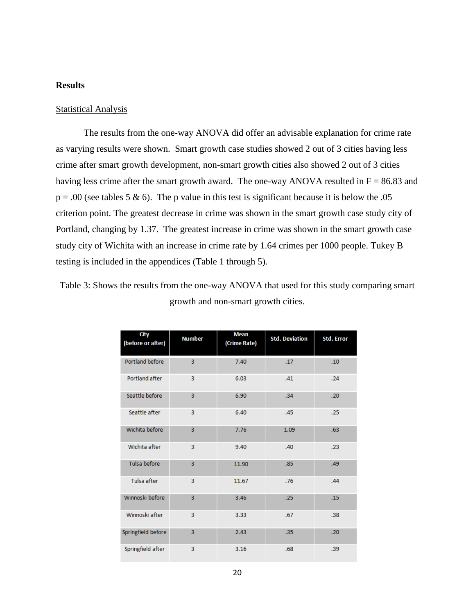#### **Results**

#### **Statistical Analysis**

The results from the one-way ANOVA did offer an advisable explanation for crime rate as varying results were shown. Smart growth case studies showed 2 out of 3 cities having less crime after smart growth development, non-smart growth cities also showed 2 out of 3 cities having less crime after the smart growth award. The one-way ANOVA resulted in  $F = 86.83$  and  $p = .00$  (see tables 5 & 6). The p value in this test is significant because it is below the .05 criterion point. The greatest decrease in crime was shown in the smart growth case study city of Portland, changing by 1.37. The greatest increase in crime was shown in the smart growth case study city of Wichita with an increase in crime rate by 1.64 crimes per 1000 people. Tukey B testing is included in the appendices (Table 1 through 5).

| Table 3: Shows the results from the one-way ANOVA that used for this study comparing smart |                                     |  |
|--------------------------------------------------------------------------------------------|-------------------------------------|--|
|                                                                                            | growth and non-smart growth cities. |  |

| City<br>(before or after) | <b>Number</b>  | <b>Mean</b><br>(Crime Rate) | <b>Std. Deviation</b> | <b>Std. Error</b> |
|---------------------------|----------------|-----------------------------|-----------------------|-------------------|
| Portland before           | 3              | 7.40                        | .17                   | .10               |
| Portland after            | 3              | 6.03                        | .41                   | .24               |
| Seattle before            | $\overline{3}$ | 6.90                        | .34                   | .20               |
| Seattle after             | 3              | 6.40                        | .45                   | .25               |
| Wichita before            | 3              | 7.76                        | 1.09                  | .63               |
| Wichita after             | 3              | 9.40                        | .40                   | .23               |
| Tulsa before              | $\overline{3}$ | 11.90                       | .85                   | .49               |
| Tulsa after               | 3              | 11.67                       | .76                   | .44               |
| Winnoski before           | $\overline{3}$ | 3.46                        | .25                   | .15               |
| Winnoski after            | 3              | 3.33                        | .67                   | .38               |
| Springfield before        | 3              | 2.43                        | .35                   | .20               |
| Springfield after         | 3              | 3.16                        | .68                   | .39               |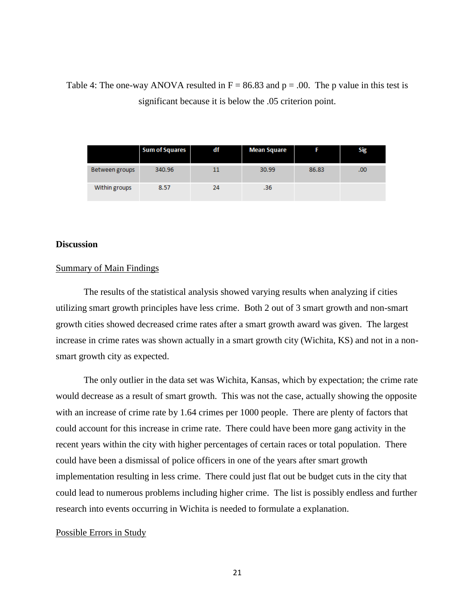## Table 4: The one-way ANOVA resulted in  $F = 86.83$  and  $p = .00$ . The p value in this test is significant because it is below the .05 criterion point.

|                       | <b>Sum of Squares</b> | df | <b>Mean Square</b> |       | Sig |
|-----------------------|-----------------------|----|--------------------|-------|-----|
| <b>Between groups</b> | 340.96                | 11 | 30.99              | 86.83 | .00 |
| Within groups         | 8.57                  | 24 | .36                |       |     |

#### **Discussion**

#### Summary of Main Findings

The results of the statistical analysis showed varying results when analyzing if cities utilizing smart growth principles have less crime. Both 2 out of 3 smart growth and non-smart growth cities showed decreased crime rates after a smart growth award was given. The largest increase in crime rates was shown actually in a smart growth city (Wichita, KS) and not in a nonsmart growth city as expected.

The only outlier in the data set was Wichita, Kansas, which by expectation; the crime rate would decrease as a result of smart growth. This was not the case, actually showing the opposite with an increase of crime rate by 1.64 crimes per 1000 people. There are plenty of factors that could account for this increase in crime rate. There could have been more gang activity in the recent years within the city with higher percentages of certain races or total population. There could have been a dismissal of police officers in one of the years after smart growth implementation resulting in less crime. There could just flat out be budget cuts in the city that could lead to numerous problems including higher crime. The list is possibly endless and further research into events occurring in Wichita is needed to formulate a explanation.

#### Possible Errors in Study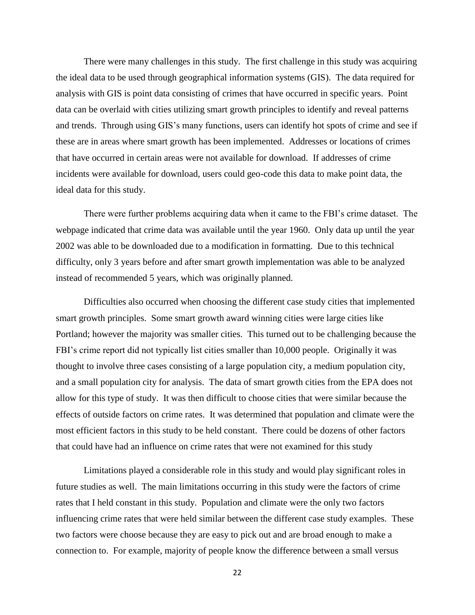There were many challenges in this study. The first challenge in this study was acquiring the ideal data to be used through geographical information systems (GIS). The data required for analysis with GIS is point data consisting of crimes that have occurred in specific years. Point data can be overlaid with cities utilizing smart growth principles to identify and reveal patterns and trends. Through using GIS's many functions, users can identify hot spots of crime and see if these are in areas where smart growth has been implemented. Addresses or locations of crimes that have occurred in certain areas were not available for download. If addresses of crime incidents were available for download, users could geo-code this data to make point data, the ideal data for this study.

There were further problems acquiring data when it came to the FBI's crime dataset. The webpage indicated that crime data was available until the year 1960. Only data up until the year 2002 was able to be downloaded due to a modification in formatting. Due to this technical difficulty, only 3 years before and after smart growth implementation was able to be analyzed instead of recommended 5 years, which was originally planned.

Difficulties also occurred when choosing the different case study cities that implemented smart growth principles. Some smart growth award winning cities were large cities like Portland; however the majority was smaller cities. This turned out to be challenging because the FBI's crime report did not typically list cities smaller than 10,000 people. Originally it was thought to involve three cases consisting of a large population city, a medium population city, and a small population city for analysis. The data of smart growth cities from the EPA does not allow for this type of study. It was then difficult to choose cities that were similar because the effects of outside factors on crime rates. It was determined that population and climate were the most efficient factors in this study to be held constant. There could be dozens of other factors that could have had an influence on crime rates that were not examined for this study

Limitations played a considerable role in this study and would play significant roles in future studies as well. The main limitations occurring in this study were the factors of crime rates that I held constant in this study. Population and climate were the only two factors influencing crime rates that were held similar between the different case study examples. These two factors were choose because they are easy to pick out and are broad enough to make a connection to. For example, majority of people know the difference between a small versus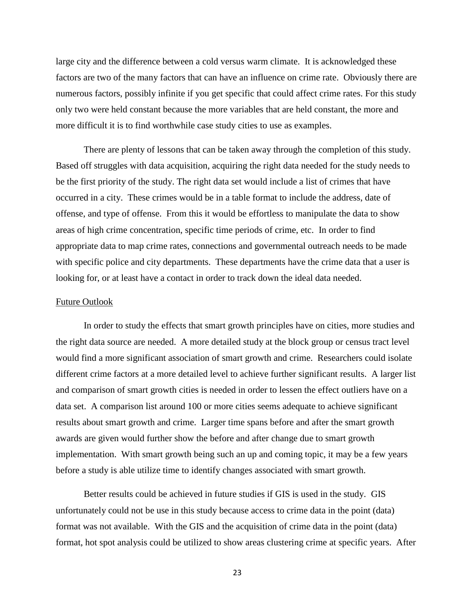large city and the difference between a cold versus warm climate. It is acknowledged these factors are two of the many factors that can have an influence on crime rate. Obviously there are numerous factors, possibly infinite if you get specific that could affect crime rates. For this study only two were held constant because the more variables that are held constant, the more and more difficult it is to find worthwhile case study cities to use as examples.

There are plenty of lessons that can be taken away through the completion of this study. Based off struggles with data acquisition, acquiring the right data needed for the study needs to be the first priority of the study. The right data set would include a list of crimes that have occurred in a city. These crimes would be in a table format to include the address, date of offense, and type of offense. From this it would be effortless to manipulate the data to show areas of high crime concentration, specific time periods of crime, etc. In order to find appropriate data to map crime rates, connections and governmental outreach needs to be made with specific police and city departments. These departments have the crime data that a user is looking for, or at least have a contact in order to track down the ideal data needed.

#### Future Outlook

In order to study the effects that smart growth principles have on cities, more studies and the right data source are needed. A more detailed study at the block group or census tract level would find a more significant association of smart growth and crime. Researchers could isolate different crime factors at a more detailed level to achieve further significant results. A larger list and comparison of smart growth cities is needed in order to lessen the effect outliers have on a data set. A comparison list around 100 or more cities seems adequate to achieve significant results about smart growth and crime. Larger time spans before and after the smart growth awards are given would further show the before and after change due to smart growth implementation. With smart growth being such an up and coming topic, it may be a few years before a study is able utilize time to identify changes associated with smart growth.

Better results could be achieved in future studies if GIS is used in the study. GIS unfortunately could not be use in this study because access to crime data in the point (data) format was not available. With the GIS and the acquisition of crime data in the point (data) format, hot spot analysis could be utilized to show areas clustering crime at specific years. After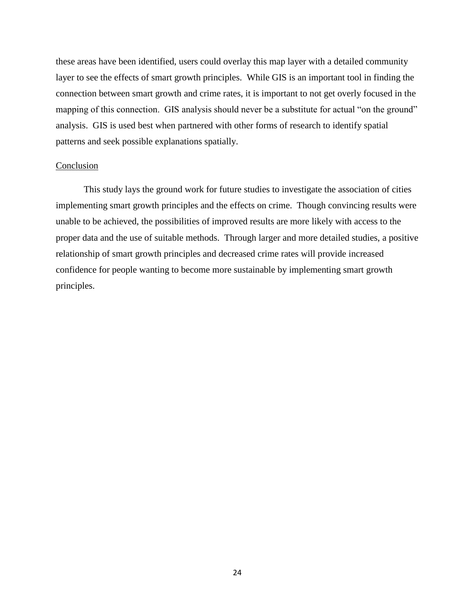these areas have been identified, users could overlay this map layer with a detailed community layer to see the effects of smart growth principles. While GIS is an important tool in finding the connection between smart growth and crime rates, it is important to not get overly focused in the mapping of this connection. GIS analysis should never be a substitute for actual "on the ground" analysis. GIS is used best when partnered with other forms of research to identify spatial patterns and seek possible explanations spatially.

#### Conclusion

This study lays the ground work for future studies to investigate the association of cities implementing smart growth principles and the effects on crime. Though convincing results were unable to be achieved, the possibilities of improved results are more likely with access to the proper data and the use of suitable methods. Through larger and more detailed studies, a positive relationship of smart growth principles and decreased crime rates will provide increased confidence for people wanting to become more sustainable by implementing smart growth principles.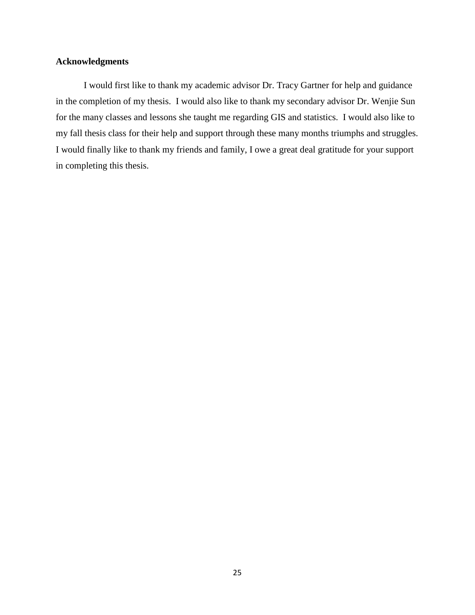### **Acknowledgments**

I would first like to thank my academic advisor Dr. Tracy Gartner for help and guidance in the completion of my thesis. I would also like to thank my secondary advisor Dr. Wenjie Sun for the many classes and lessons she taught me regarding GIS and statistics. I would also like to my fall thesis class for their help and support through these many months triumphs and struggles. I would finally like to thank my friends and family, I owe a great deal gratitude for your support in completing this thesis.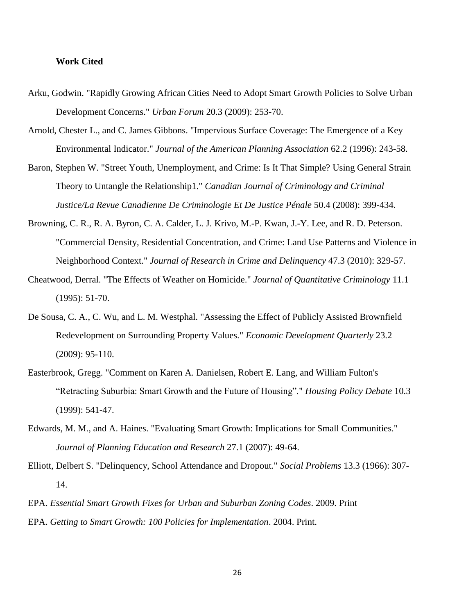#### **Work Cited**

- Arku, Godwin. "Rapidly Growing African Cities Need to Adopt Smart Growth Policies to Solve Urban Development Concerns." *Urban Forum* 20.3 (2009): 253-70.
- Arnold, Chester L., and C. James Gibbons. "Impervious Surface Coverage: The Emergence of a Key Environmental Indicator." *Journal of the American Planning Association* 62.2 (1996): 243-58.
- Baron, Stephen W. "Street Youth, Unemployment, and Crime: Is It That Simple? Using General Strain Theory to Untangle the Relationship1." *Canadian Journal of Criminology and Criminal Justice/La Revue Canadienne De Criminologie Et De Justice Pénale* 50.4 (2008): 399-434.
- Browning, C. R., R. A. Byron, C. A. Calder, L. J. Krivo, M.-P. Kwan, J.-Y. Lee, and R. D. Peterson. "Commercial Density, Residential Concentration, and Crime: Land Use Patterns and Violence in Neighborhood Context." *Journal of Research in Crime and Delinquency* 47.3 (2010): 329-57.
- Cheatwood, Derral. "The Effects of Weather on Homicide." *Journal of Quantitative Criminology* 11.1 (1995): 51-70.
- De Sousa, C. A., C. Wu, and L. M. Westphal. "Assessing the Effect of Publicly Assisted Brownfield Redevelopment on Surrounding Property Values." *Economic Development Quarterly* 23.2 (2009): 95-110.
- Easterbrook, Gregg. "Comment on Karen A. Danielsen, Robert E. Lang, and William Fulton's "Retracting Suburbia: Smart Growth and the Future of Housing"." *Housing Policy Debate* 10.3 (1999): 541-47.
- Edwards, M. M., and A. Haines. "Evaluating Smart Growth: Implications for Small Communities." *Journal of Planning Education and Research* 27.1 (2007): 49-64.
- Elliott, Delbert S. "Delinquency, School Attendance and Dropout." *Social Problems* 13.3 (1966): 307- 14.
- EPA. *Essential Smart Growth Fixes for Urban and Suburban Zoning Codes*. 2009. Print EPA. *Getting to Smart Growth: 100 Policies for Implementation*. 2004. Print.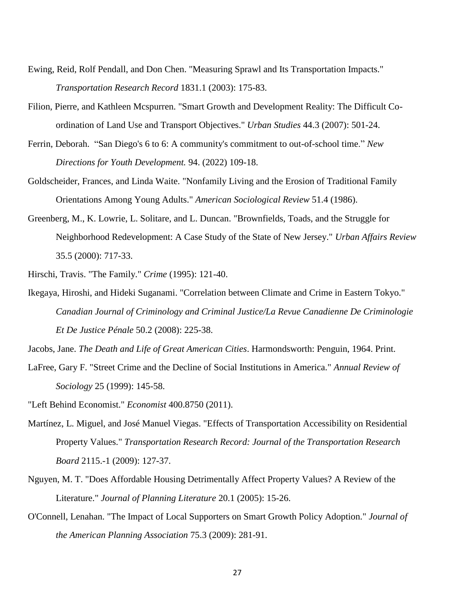- Ewing, Reid, Rolf Pendall, and Don Chen. "Measuring Sprawl and Its Transportation Impacts." *Transportation Research Record* 1831.1 (2003): 175-83.
- Filion, Pierre, and Kathleen Mcspurren. "Smart Growth and Development Reality: The Difficult Coordination of Land Use and Transport Objectives." *Urban Studies* 44.3 (2007): 501-24.
- Ferrin, Deborah. "San Diego's 6 to 6: A community's commitment to out-of-school time." *New Directions for Youth Development.* 94. (2022) 109-18.
- Goldscheider, Frances, and Linda Waite. "Nonfamily Living and the Erosion of Traditional Family Orientations Among Young Adults." *American Sociological Review* 51.4 (1986).
- Greenberg, M., K. Lowrie, L. Solitare, and L. Duncan. "Brownfields, Toads, and the Struggle for Neighborhood Redevelopment: A Case Study of the State of New Jersey." *Urban Affairs Review* 35.5 (2000): 717-33.

Hirschi, Travis. "The Family." *Crime* (1995): 121-40.

Ikegaya, Hiroshi, and Hideki Suganami. "Correlation between Climate and Crime in Eastern Tokyo." *Canadian Journal of Criminology and Criminal Justice/La Revue Canadienne De Criminologie Et De Justice Pénale* 50.2 (2008): 225-38.

Jacobs, Jane. *The Death and Life of Great American Cities*. Harmondsworth: Penguin, 1964. Print.

- LaFree, Gary F. "Street Crime and the Decline of Social Institutions in America." *Annual Review of Sociology* 25 (1999): 145-58.
- "Left Behind Economist." *Economist* 400.8750 (2011).
- Martínez, L. Miguel, and José Manuel Viegas. "Effects of Transportation Accessibility on Residential Property Values." *Transportation Research Record: Journal of the Transportation Research Board* 2115.-1 (2009): 127-37.
- Nguyen, M. T. "Does Affordable Housing Detrimentally Affect Property Values? A Review of the Literature." *Journal of Planning Literature* 20.1 (2005): 15-26.
- O'Connell, Lenahan. "The Impact of Local Supporters on Smart Growth Policy Adoption." *Journal of the American Planning Association* 75.3 (2009): 281-91.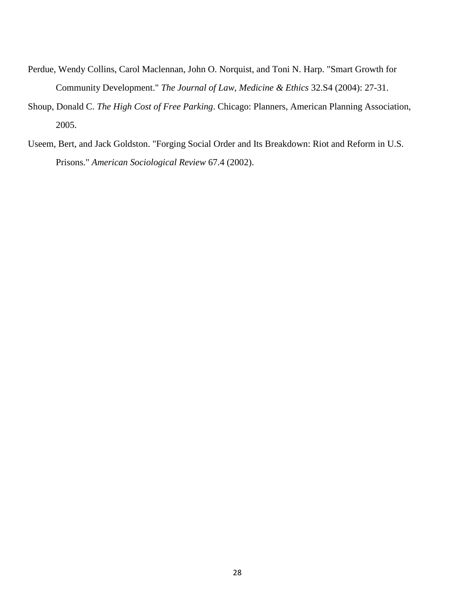- Perdue, Wendy Collins, Carol Maclennan, John O. Norquist, and Toni N. Harp. "Smart Growth for Community Development." *The Journal of Law, Medicine & Ethics* 32.S4 (2004): 27-31.
- Shoup, Donald C. *The High Cost of Free Parking*. Chicago: Planners, American Planning Association, 2005.
- Useem, Bert, and Jack Goldston. "Forging Social Order and Its Breakdown: Riot and Reform in U.S. Prisons." *American Sociological Review* 67.4 (2002).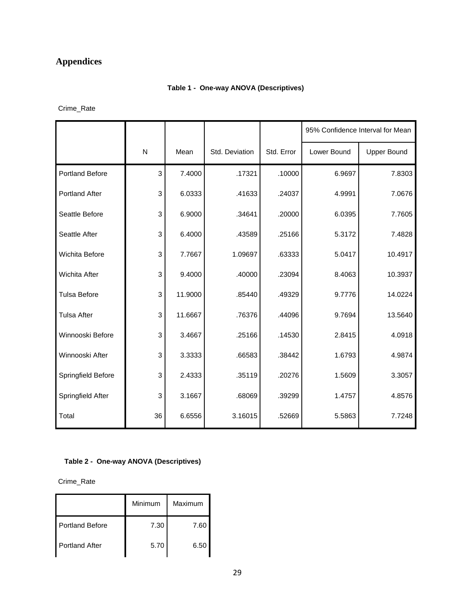## **Appendices**

### **Table 1 - One-way ANOVA (Descriptives)**

Crime\_Rate

|                        |              |         |                |            |             | 95% Confidence Interval for Mean |  |
|------------------------|--------------|---------|----------------|------------|-------------|----------------------------------|--|
|                        | $\mathsf{N}$ | Mean    | Std. Deviation | Std. Error | Lower Bound | <b>Upper Bound</b>               |  |
| <b>Portland Before</b> | 3            | 7.4000  | .17321         | .10000     | 6.9697      | 7.8303                           |  |
| <b>Portland After</b>  | 3            | 6.0333  | .41633         | .24037     | 4.9991      | 7.0676                           |  |
| Seattle Before         | 3            | 6.9000  | .34641         | .20000     | 6.0395      | 7.7605                           |  |
| Seattle After          | 3            | 6.4000  | .43589         | .25166     | 5.3172      | 7.4828                           |  |
| Wichita Before         | 3            | 7.7667  | 1.09697        | .63333     | 5.0417      | 10.4917                          |  |
| Wichita After          | 3            | 9.4000  | .40000         | .23094     | 8.4063      | 10.3937                          |  |
| <b>Tulsa Before</b>    | 3            | 11.9000 | .85440         | .49329     | 9.7776      | 14.0224                          |  |
| <b>Tulsa After</b>     | 3            | 11.6667 | .76376         | .44096     | 9.7694      | 13.5640                          |  |
| Winnooski Before       | 3            | 3.4667  | .25166         | .14530     | 2.8415      | 4.0918                           |  |
| Winnooski After        | 3            | 3.3333  | .66583         | .38442     | 1.6793      | 4.9874                           |  |
| Springfield Before     | 3            | 2.4333  | .35119         | .20276     | 1.5609      | 3.3057                           |  |
| Springfield After      | 3            | 3.1667  | .68069         | .39299     | 1.4757      | 4.8576                           |  |
| Total                  | 36           | 6.6556  | 3.16015        | .52669     | 5.5863      | 7.7248                           |  |

#### **Table 2 - One-way ANOVA (Descriptives)**

Crime\_Rate

|                        | Minimum | Maximum |
|------------------------|---------|---------|
| <b>Portland Before</b> | 7.30    | 7.60    |
| <b>Portland After</b>  | 5.70    | 6.50    |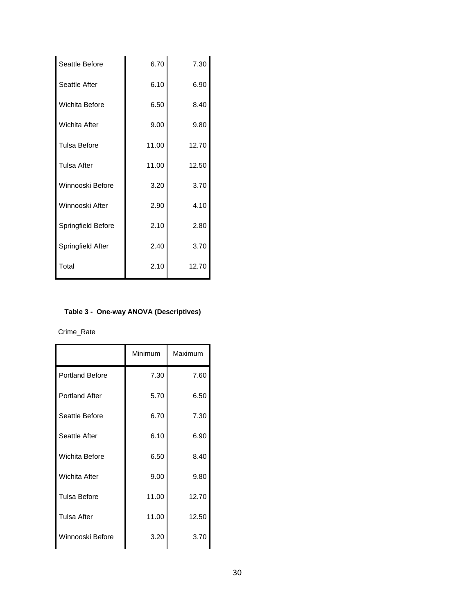| Seattle Before        | 6.70  | 7.30  |
|-----------------------|-------|-------|
| Seattle After         | 6.10  | 6.90  |
| <b>Wichita Before</b> | 6.50  | 8.40  |
| <b>Wichita After</b>  | 9.00  | 9.80  |
| <b>Tulsa Before</b>   | 11.00 | 12.70 |
| <b>Tulsa After</b>    | 11.00 | 12.50 |
| Winnooski Before      | 3.20  | 3.70  |
| Winnooski After       | 2.90  | 4.10  |
| Springfield Before    | 2.10  | 2.80  |
| Springfield After     | 2.40  | 3.70  |
| Total                 | 2.10  | 12.70 |
|                       |       |       |

#### **Table 3 - One-way ANOVA (Descriptives)**

Crime\_Rate

|                        | Minimum | Maximum |
|------------------------|---------|---------|
| <b>Portland Before</b> | 7.30    | 7.60    |
| <b>Portland After</b>  | 5.70    | 6.50    |
| Seattle Before         | 6.70    | 7.30    |
| Seattle After          | 6.10    | 6.90    |
| Wichita Before         | 6.50    | 8.40    |
| <b>Wichita After</b>   | 9.00    | 9.80    |
| Tulsa Before           | 11.00   | 12.70   |
| <b>Tulsa After</b>     | 11.00   | 12.50   |
| Winnooski Before       | 3.20    | 3.70    |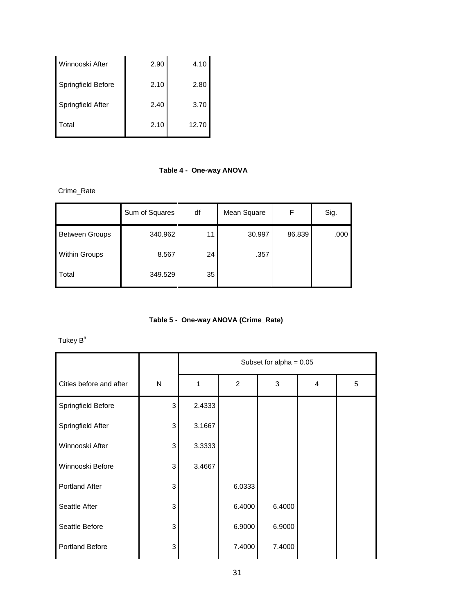| Winnooski After    | 2.90 | 4.10  |
|--------------------|------|-------|
| Springfield Before | 2.10 | 2.80  |
| Springfield After  | 2.40 | 3.70  |
| Total              | 2.10 | 12.70 |

#### **Table 4 - One-way ANOVA**

Crime\_Rate

|                       | Sum of Squares | df | Mean Square | F      | Sig. |
|-----------------------|----------------|----|-------------|--------|------|
| <b>Between Groups</b> | 340.962        | 11 | 30.997      | 86.839 | .000 |
| <b>Within Groups</b>  | 8.567          | 24 | .357        |        |      |
| Total                 | 349.529        | 35 |             |        |      |

**Table 5 - One-way ANOVA (Crime\_Rate)**

Tukey  $B^a$ 

|                         |              | Subset for alpha = $0.05$ |                |        |   |   |
|-------------------------|--------------|---------------------------|----------------|--------|---|---|
| Cities before and after | $\mathsf{N}$ | 1                         | $\overline{2}$ | 3      | 4 | 5 |
| Springfield Before      | 3            | 2.4333                    |                |        |   |   |
| Springfield After       | 3            | 3.1667                    |                |        |   |   |
| Winnooski After         | 3            | 3.3333                    |                |        |   |   |
| Winnooski Before        | 3            | 3.4667                    |                |        |   |   |
| <b>Portland After</b>   | 3            |                           | 6.0333         |        |   |   |
| Seattle After           | 3            |                           | 6.4000         | 6.4000 |   |   |
| Seattle Before          | 3            |                           | 6.9000         | 6.9000 |   |   |
| <b>Portland Before</b>  | 3            |                           | 7.4000         | 7.4000 |   |   |